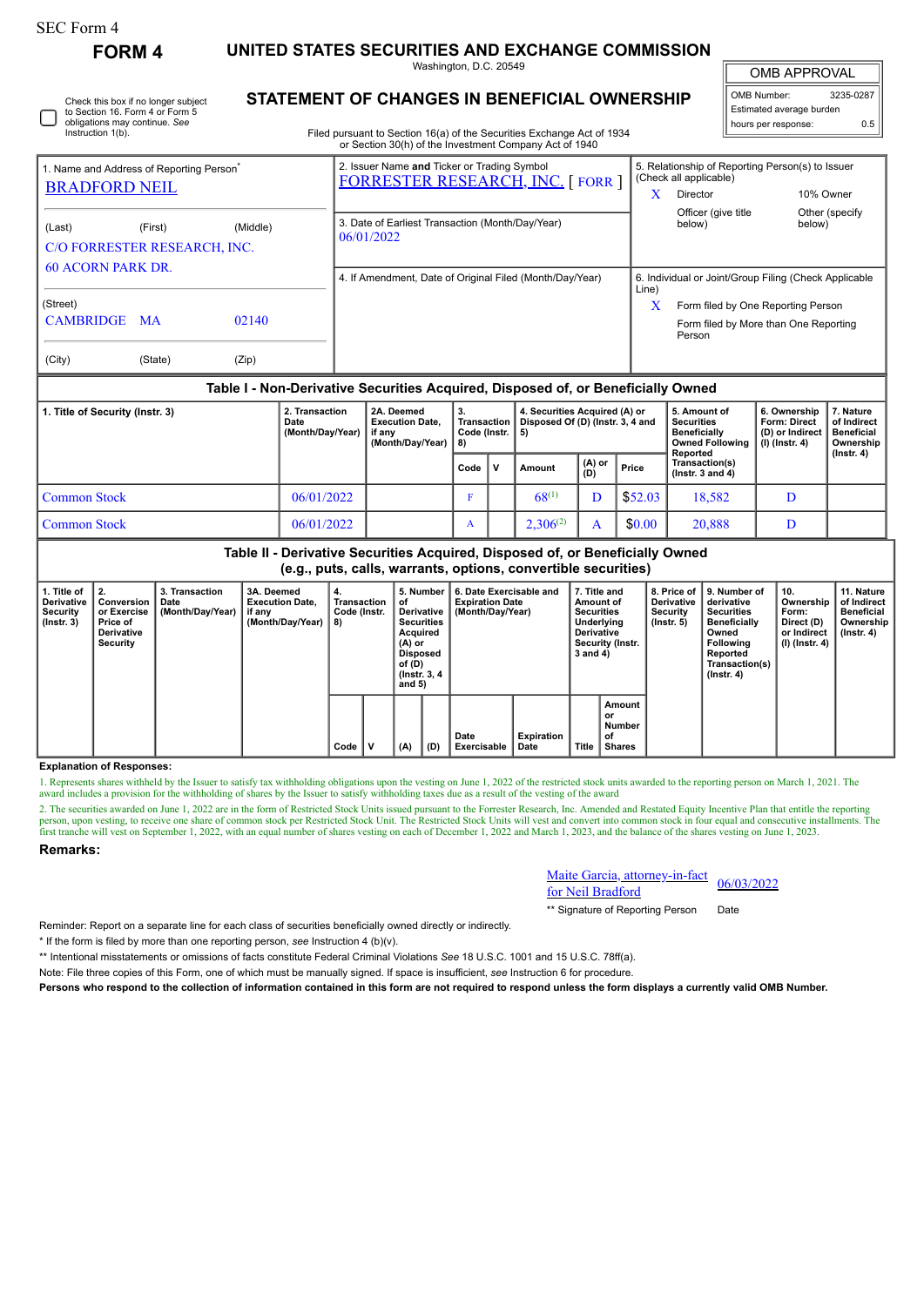## SEC Form 4

**FORM 4 UNITED STATES SECURITIES AND EXCHANGE COMMISSION**

Washington, D.C. 20549 **STATEMENT OF CHANGES IN BENEFICIAL OWNERSHIP**

OMB APPROVAL

H

| OMB Number:<br>3235-0287 |     |  |  |  |  |  |  |
|--------------------------|-----|--|--|--|--|--|--|
| Estimated average burden |     |  |  |  |  |  |  |
| hours per response:      | ሰ 5 |  |  |  |  |  |  |

| Instruction 1(b).                                                            |          | Filed pursuant to Section 16(a) of the Securities Exchange Act of 1934                |       |                                                                                        |                          |  |  |
|------------------------------------------------------------------------------|----------|---------------------------------------------------------------------------------------|-------|----------------------------------------------------------------------------------------|--------------------------|--|--|
|                                                                              |          | or Section 30(h) of the Investment Company Act of 1940                                |       |                                                                                        |                          |  |  |
| 1. Name and Address of Reporting Person <sup>®</sup><br><b>BRADFORD NEIL</b> |          | 2. Issuer Name and Ticker or Trading Symbol<br><b>FORRESTER RESEARCH, INC. [FORR]</b> | x     | 5. Relationship of Reporting Person(s) to Issuer<br>(Check all applicable)<br>Director | 10% Owner                |  |  |
| (Last)<br>(First)<br>C/O FORRESTER RESEARCH, INC.                            | (Middle) | 3. Date of Earliest Transaction (Month/Day/Year)<br>06/01/2022                        |       | Officer (give title)<br>below)                                                         | Other (specify<br>below) |  |  |
| <b>60 ACORN PARK DR</b>                                                      |          | 4. If Amendment, Date of Original Filed (Month/Day/Year)                              | Line) | 6. Individual or Joint/Group Filing (Check Applicable                                  |                          |  |  |
| (Street)                                                                     |          |                                                                                       | X     | Form filed by One Reporting Person                                                     |                          |  |  |
| CAMBRIDGE MA                                                                 | 02140    |                                                                                       |       | Form filed by More than One Reporting<br>Person                                        |                          |  |  |
| (City)<br>(State)                                                            | (Zip)    |                                                                                       |       |                                                                                        |                          |  |  |

## **Table I - Non-Derivative Securities Acquired, Disposed of, or Beneficially Owned**

| 1. Title of Security (Instr. 3) | 2. Transaction<br>Date<br>(Month/Day/Year) | 2A. Deemed<br><b>Execution Date.</b><br>if anv<br>(Month/Dav/Year) | -3.<br>Transaction  <br>Code (Instr. $  5 \rangle$<br>8) |   | 4. Securities Acquired (A) or<br>Disposed Of (D) (Instr. 3, 4 and |                                                                  |         | 5. Amount of<br>Securities<br><b>Beneficially</b><br><b>Owned Following</b><br>Reported | 6. Ownership<br><b>Form: Direct</b><br>(D) or Indirect<br>(I) (Instr. 4) | 7. Nature<br>of Indirect<br><b>Beneficial</b><br>Ownership |
|---------------------------------|--------------------------------------------|--------------------------------------------------------------------|----------------------------------------------------------|---|-------------------------------------------------------------------|------------------------------------------------------------------|---------|-----------------------------------------------------------------------------------------|--------------------------------------------------------------------------|------------------------------------------------------------|
|                                 |                                            |                                                                    | Code                                                     | v | Amount                                                            | (A) or<br>(D)<br>Transaction(s)<br>Price<br>( $lnstr. 3 and 4$ ) |         |                                                                                         | (Instr. 4)                                                               |                                                            |
| Common Stock                    | 06/01/2022                                 |                                                                    |                                                          |   | $68^{(1)}$                                                        |                                                                  | \$52.03 | 18,582                                                                                  |                                                                          |                                                            |
| Common Stock                    | 06/01/2022                                 |                                                                    |                                                          |   | $2.306^{(2)}$                                                     |                                                                  | \$0.00  | 20,888                                                                                  | D                                                                        |                                                            |

**Table II - Derivative Securities Acquired, Disposed of, or Beneficially Owned (e.g., puts, calls, warrants, options, convertible securities)**

| 1. Title of<br>Derivative<br>Security<br>$($ lnstr. 3 $)$ | $\parallel$ 2.<br>Conversion<br>or Exercise<br><b>Price of</b><br>Derivative<br>Security | 3. Transaction<br>Date<br>(Month/Day/Year) | 3A. Deemed<br><b>Execution Date.</b><br>if any<br>(Month/Day/Year) | 4.<br>Transaction<br>Code (Instr.<br>8) | 5. Number<br>οf<br>Derivative<br><b>Securities</b><br>Acquired<br>$(A)$ or<br>Disposed<br>of (D)<br>(Instr. 3, 4)<br>and $5)$ |     | 6. Date Exercisable and<br><b>Expiration Date</b><br>(Month/Dav/Year) | 7. Title and<br>Amount of<br><b>Securities</b><br>Underlying<br><b>Derivative</b><br>Security (Instr.<br>3 and 4) |              | 8. Price of<br><b>Derivative</b><br>Security<br>$($ lnstr. 5 $)$ | 9. Number of<br>derivative<br><b>Securities</b><br><b>Beneficially</b><br>Owned<br>Following<br>Reported<br>Transaction(s)<br>$($ Instr. 4 $)$ | 10.<br>Ownership<br>Form:<br>Direct (D)<br>or Indirect<br>(I) (Instr. 4) | 11. Nature<br>of Indirect<br><b>Beneficial</b><br>Ownership<br>$($ lnstr. 4 $)$ |  |
|-----------------------------------------------------------|------------------------------------------------------------------------------------------|--------------------------------------------|--------------------------------------------------------------------|-----------------------------------------|-------------------------------------------------------------------------------------------------------------------------------|-----|-----------------------------------------------------------------------|-------------------------------------------------------------------------------------------------------------------|--------------|------------------------------------------------------------------|------------------------------------------------------------------------------------------------------------------------------------------------|--------------------------------------------------------------------------|---------------------------------------------------------------------------------|--|
|                                                           |                                                                                          |                                            |                                                                    | Code                                    | (A)                                                                                                                           | (D) | Date<br>Exercisable                                                   | <b>Expiration</b><br>Date                                                                                         | <b>Title</b> | Amount<br>or<br>Number<br>of<br><b>Shares</b>                    |                                                                                                                                                |                                                                          |                                                                                 |  |

## **Explanation of Responses:**

1. Represents shares withheld by the Issuer to satisfy tax withholding obligations upon the vesting on June 1, 2022 of the restricted stock units awarded to the reporting person on March 1, 2021. The award includes a provision for the withholding of shares by the Issuer to satisfy withholding taxes due as a result of the vesting of the award

2. The securities awarded on June 1, 2022 are in the form of Restricted Stock Units issued pursuant to the Forrester Research, Inc. Amended and Restated Equity Incentive Plan that entitle the reporting person, upon vesting, to receive one share of common stock per Restricted Stock Unit. The Restricted Stock Units will vest and convert into common stock in four equal and consecutive installments. The first tranche will ve **Remarks:**

> Maite Garcia, attorney-in-fact <u>Maile Garcia, altoniey-in-ract</u> 06/03/2022<br>for Neil Bradford

\*\* Signature of Reporting Person Date

Reminder: Report on a separate line for each class of securities beneficially owned directly or indirectly.

\* If the form is filed by more than one reporting person, *see* Instruction 4 (b)(v).

\*\* Intentional misstatements or omissions of facts constitute Federal Criminal Violations *See* 18 U.S.C. 1001 and 15 U.S.C. 78ff(a).

Note: File three copies of this Form, one of which must be manually signed. If space is insufficient, *see* Instruction 6 for procedure.

**Persons who respond to the collection of information contained in this form are not required to respond unless the form displays a currently valid OMB Number.**

Check this box if no longer subject to Section 16. Form 4 or Form 5 obligations may continue. *See*